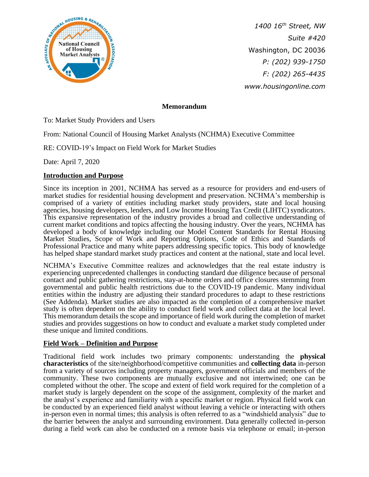

*1400 16th Street, NW Suite #420* Washington, DC 20036 *P: (202) 939-1750 F: (202) 265-4435 www.housingonline.com*

## **Memorandum**

To: Market Study Providers and Users

From: National Council of Housing Market Analysts (NCHMA) Executive Committee

RE: COVID-19's Impact on Field Work for Market Studies

Date: April 7, 2020

## **Introduction and Purpose**

Since its inception in 2001, NCHMA has served as a resource for providers and end-users of market studies for residential housing development and preservation. NCHMA's membership is comprised of a variety of entities including market study providers, state and local housing agencies, housing developers, lenders, and Low Income Housing Tax Credit (LIHTC) syndicators. This expansive representation of the industry provides a broad and collective understanding of current market conditions and topics affecting the housing industry. Over the years, NCHMA has developed a body of knowledge including our Model Content Standards for Rental Housing Market Studies, Scope of Work and Reporting Options, Code of Ethics and Standards of Professional Practice and many white papers addressing specific topics. This body of knowledge has helped shape standard market study practices and content at the national, state and local level.

NCHMA's Executive Committee realizes and acknowledges that the real estate industry is experiencing unprecedented challenges in conducting standard due diligence because of personal contact and public gathering restrictions, stay-at-home orders and office closures stemming from governmental and public health restrictions due to the COVID-19 pandemic. Many individual entities within the industry are adjusting their standard procedures to adapt to these restrictions (See Addenda). Market studies are also impacted as the completion of a comprehensive market study is often dependent on the ability to conduct field work and collect data at the local level. This memorandum details the scope and importance of field work during the completion of market studies and provides suggestions on how to conduct and evaluate a market study completed under these unique and limited conditions.

#### **Field Work – Definition and Purpose**

Traditional field work includes two primary components: understanding the **physical characteristics** of the site/neighborhood/competitive communities and **collecting data** in-person from a variety of sources including property managers, government officials and members of the community. These two components are mutually exclusive and not intertwined; one can be completed without the other. The scope and extent of field work required for the completion of a market study is largely dependent on the scope of the assignment, complexity of the market and the analyst's experience and familiarity with a specific market or region. Physical field work can be conducted by an experienced field analyst without leaving a vehicle or interacting with others in-person even in normal times; this analysis is often referred to as a "windshield analysis" due to the barrier between the analyst and surrounding environment. Data generally collected in-person during a field work can also be conducted on a remote basis via telephone or email; in-person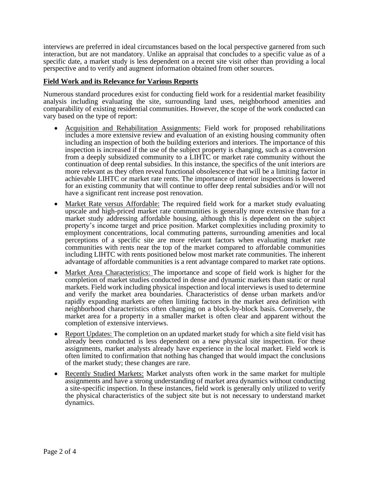interviews are preferred in ideal circumstances based on the local perspective garnered from such interaction, but are not mandatory. Unlike an appraisal that concludes to a specific value as of a specific date, a market study is less dependent on a recent site visit other than providing a local perspective and to verify and augment information obtained from other sources.

## **Field Work and its Relevance for Various Reports**

Numerous standard procedures exist for conducting field work for a residential market feasibility analysis including evaluating the site, surrounding land uses, neighborhood amenities and comparability of existing residential communities. However, the scope of the work conducted can vary based on the type of report:

- Acquisition and Rehabilitation Assignments: Field work for proposed rehabilitations includes a more extensive review and evaluation of an existing housing community often including an inspection of both the building exteriors and interiors. The importance of this inspection is increased if the use of the subject property is changing, such as a conversion from a deeply subsidized community to a LIHTC or market rate community without the continuation of deep rental subsidies. In this instance, the specifics of the unit interiors are more relevant as they often reveal functional obsolescence that will be a limiting factor in achievable LIHTC or market rate rents. The importance of interior inspections is lowered for an existing community that will continue to offer deep rental subsidies and/or will not have a significant rent increase post renovation.
- Market Rate versus Affordable: The required field work for a market study evaluating upscale and high-priced market rate communities is generally more extensive than for a market study addressing affordable housing, although this is dependent on the subject property's income target and price position. Market complexities including proximity to employment concentrations, local commuting patterns, surrounding amenities and local perceptions of a specific site are more relevant factors when evaluating market rate communities with rents near the top of the market compared to affordable communities including LIHTC with rents positioned below most market rate communities. The inherent advantage of affordable communities is a rent advantage compared to market rate options.
- Market Area Characteristics: The importance and scope of field work is higher for the completion of market studies conducted in dense and dynamic markets than static or rural markets. Field work including physical inspection and local interviews is used to determine and verify the market area boundaries. Characteristics of dense urban markets and/or rapidly expanding markets are often limiting factors in the market area definition with neighborhood characteristics often changing on a block-by-block basis. Conversely, the market area for a property in a smaller market is often clear and apparent without the completion of extensive interviews.
- Report Updates: The completion on an updated market study for which a site field visit has already been conducted is less dependent on a new physical site inspection. For these assignments, market analysts already have experience in the local market. Field work is often limited to confirmation that nothing has changed that would impact the conclusions of the market study; these changes are rare.
- Recently Studied Markets: Market analysts often work in the same market for multiple assignments and have a strong understanding of market area dynamics without conducting a site-specific inspection. In these instances, field work is generally only utilized to verify the physical characteristics of the subject site but is not necessary to understand market dynamics.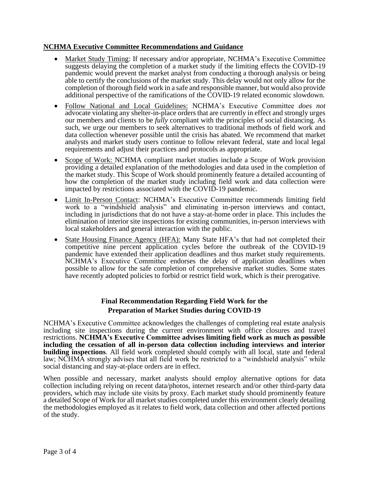#### **NCHMA Executive Committee Recommendations and Guidance**

- Market Study Timing: If necessary and/or appropriate, NCHMA's Executive Committee suggests delaying the completion of a market study if the limiting effects the COVID-19 pandemic would prevent the market analyst from conducting a thorough analysis or being able to certify the conclusions of the market study. This delay would not only allow for the completion of thorough field work in a safe and responsible manner, but would also provide additional perspective of the ramifications of the COVID-19 related economic slowdown.
- Follow National and Local Guidelines: NCHMA's Executive Committee *does not* advocate violating any shelter-in-place orders that are currently in effect and strongly urges our members and clients to be *fully* compliant with the principles of social distancing. As such, we urge our members to seek alternatives to traditional methods of field work and data collection whenever possible until the crisis has abated. We recommend that market analysts and market study users continue to follow relevant federal, state and local legal requirements and adjust their practices and protocols as appropriate.
- Scope of Work: NCHMA compliant market studies include a Scope of Work provision providing a detailed explanation of the methodologies and data used in the completion of the market study. This Scope of Work should prominently feature a detailed accounting of how the completion of the market study including field work and data collection were impacted by restrictions associated with the COVID-19 pandemic.
- Limit In-Person Contact: NCHMA's Executive Committee recommends limiting field work to a "windshield analysis" and eliminating in-person interviews and contact, including in jurisdictions that do not have a stay-at-home order in place. This includes the elimination of interior site inspections for existing communities, in-person interviews with local stakeholders and general interaction with the public.
- State Housing Finance Agency (HFA): Many State HFA's that had not completed their competitive nine percent application cycles before the outbreak of the COVID-19 pandemic have extended their application deadlines and thus market study requirements. NCHMA's Executive Committee endorses the delay of application deadlines when possible to allow for the safe completion of comprehensive market studies. Some states have recently adopted policies to forbid or restrict field work, which is their prerogative.

## **Final Recommendation Regarding Field Work for the Preparation of Market Studies during COVID-19**

NCHMA's Executive Committee acknowledges the challenges of completing real estate analysis including site inspections during the current environment with office closures and travel restrictions. **NCHMA's Executive Committee advises limiting field work as much as possible including the cessation of all in-person data collection including interviews and interior building inspections**. All field work completed should comply with all local, state and federal law; NCHMA strongly advises that all field work be restricted to a "windshield analysis" while social distancing and stay-at-place orders are in effect.

When possible and necessary, market analysts should employ alternative options for data collection including relying on recent data/photos, internet research and/or other third-party data providers, which may include site visits by proxy. Each market study should prominently feature a detailed Scope of Work for all market studies completed under this environment clearly detailing the methodologies employed as it relates to field work, data collection and other affected portions of the study.